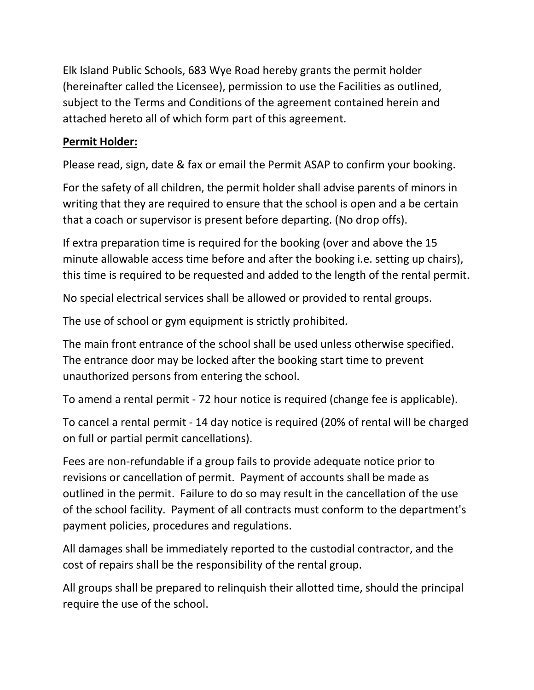Elk Island Public Schools, 683 Wye Road hereby grants the permit holder (hereinafter called the Licensee), permission to use the Facilities as outlined, subject to the Terms and Conditions of the agreement contained herein and attached hereto all of which form part of this agreement.

## **Permit Holder:**

Please read, sign, date & fax or email the Permit ASAP to confirm your booking.

For the safety of all children, the permit holder shall advise parents of minors in writing that they are required to ensure that the school is open and a be certain that a coach or supervisor is present before departing. (No drop offs).

If extra preparation time is required for the booking (over and above the 15 minute allowable access time before and after the booking i.e. setting up chairs), this time is required to be requested and added to the length of the rental permit.

No special electrical services shall be allowed or provided to rental groups.

The use of school or gym equipment is strictly prohibited.

The main front entrance of the school shall be used unless otherwise specified. The entrance door may be locked after the booking start time to prevent unauthorized persons from entering the school.

To amend a rental permit - 72 hour notice is required (change fee is applicable).

To cancel a rental permit - 14 day notice is required (20% of rental will be charged on full or partial permit cancellations).

Fees are non-refundable if a group fails to provide adequate notice prior to revisions or cancellation of permit. Payment of accounts shall be made as outlined in the permit. Failure to do so may result in the cancellation of the use of the school facility. Payment of all contracts must conform to the department's payment policies, procedures and regulations.

All damages shall be immediately reported to the custodial contractor, and the cost of repairs shall be the responsibility of the rental group.

All groups shall be prepared to relinquish their allotted time, should the principal require the use of the school.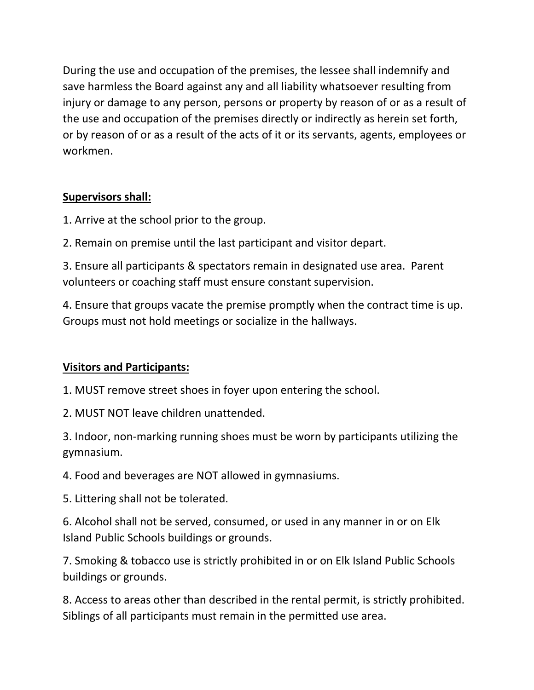During the use and occupation of the premises, the lessee shall indemnify and save harmless the Board against any and all liability whatsoever resulting from injury or damage to any person, persons or property by reason of or as a result of the use and occupation of the premises directly or indirectly as herein set forth, or by reason of or as a result of the acts of it or its servants, agents, employees or workmen.

## **Supervisors shall:**

1. Arrive at the school prior to the group.

2. Remain on premise until the last participant and visitor depart.

3. Ensure all participants & spectators remain in designated use area. Parent volunteers or coaching staff must ensure constant supervision.

4. Ensure that groups vacate the premise promptly when the contract time is up. Groups must not hold meetings or socialize in the hallways.

## **Visitors and Participants:**

1. MUST remove street shoes in foyer upon entering the school.

2. MUST NOT leave children unattended.

3. Indoor, non-marking running shoes must be worn by participants utilizing the gymnasium.

4. Food and beverages are NOT allowed in gymnasiums.

5. Littering shall not be tolerated.

6. Alcohol shall not be served, consumed, or used in any manner in or on Elk Island Public Schools buildings or grounds.

7. Smoking & tobacco use is strictly prohibited in or on Elk Island Public Schools buildings or grounds.

8. Access to areas other than described in the rental permit, is strictly prohibited. Siblings of all participants must remain in the permitted use area.